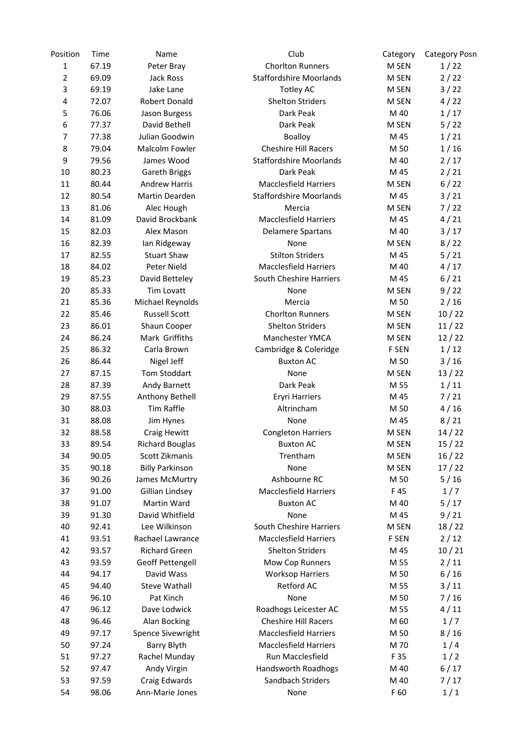| Position       | Time  | Name                   | Club                           | Category | <b>Category Posn</b> |
|----------------|-------|------------------------|--------------------------------|----------|----------------------|
| $\mathbf{1}$   | 67.19 | Peter Bray             | <b>Chorlton Runners</b>        | M SEN    | 1/22                 |
| $\overline{2}$ | 69.09 | Jack Ross              | <b>Staffordshire Moorlands</b> | M SEN    | 2/22                 |
| 3              | 69.19 | Jake Lane              | <b>Totley AC</b>               | M SEN    | 3/22                 |
| $\pmb{4}$      | 72.07 | Robert Donald          | <b>Shelton Striders</b>        | M SEN    | 4/22                 |
| 5              | 76.06 | Jason Burgess          | Dark Peak                      | M 40     | 1/17                 |
| 6              | 77.37 | David Bethell          | Dark Peak                      | M SEN    | 5/22                 |
| 7              | 77.38 | Julian Goodwin         | Boalloy                        | M 45     | 1/21                 |
| 8              | 79.04 | Malcolm Fowler         | <b>Cheshire Hill Racers</b>    | M 50     | 1/16                 |
| 9              | 79.56 | James Wood             | <b>Staffordshire Moorlands</b> | M 40     | 2/17                 |
| 10             | 80.23 | Gareth Briggs          | Dark Peak                      | M 45     | 2/21                 |
| 11             | 80.44 | <b>Andrew Harris</b>   | <b>Macclesfield Harriers</b>   | M SEN    | 6/22                 |
| 12             | 80.54 | Martin Dearden         | <b>Staffordshire Moorlands</b> | M 45     | 3/21                 |
| 13             | 81.06 | Alec Hough             | Mercia                         | M SEN    | 7/22                 |
| 14             | 81.09 | David Brockbank        | <b>Macclesfield Harriers</b>   | M 45     | 4/21                 |
| 15             | 82.03 | Alex Mason             | <b>Delamere Spartans</b>       | M 40     | $3/17$               |
| 16             | 82.39 | Ian Ridgeway           | None                           | M SEN    | 8/22                 |
| 17             | 82.55 | <b>Stuart Shaw</b>     | <b>Stilton Striders</b>        | M 45     | 5/21                 |
| 18             | 84.02 | Peter Nield            | <b>Macclesfield Harriers</b>   | M 40     | 4/17                 |
| 19             | 85.23 | David Betteley         | South Cheshire Harriers        | M 45     | 6/21                 |
| 20             | 85.33 | Tim Lovatt             | None                           | M SEN    | 9/22                 |
| 21             | 85.36 | Michael Reynolds       | Mercia                         | M 50     | 2/16                 |
| 22             | 85.46 | <b>Russell Scott</b>   | <b>Chorlton Runners</b>        | M SEN    | 10/22                |
| 23             | 86.01 | Shaun Cooper           | <b>Shelton Striders</b>        | M SEN    | 11/22                |
| 24             | 86.24 | Mark Griffiths         | Manchester YMCA                | M SEN    | 12/22                |
| 25             | 86.32 | Carla Brown            | Cambridge & Coleridge          | F SEN    | 1/12                 |
| 26             | 86.44 | Nigel Jeff             | <b>Buxton AC</b>               | M 50     | $3/16$               |
| 27             | 87.15 | Tom Stoddart           | None                           | M SEN    | 13/22                |
| 28             | 87.39 | Andy Barnett           | Dark Peak                      | M 55     | 1/11                 |
| 29             | 87.55 | Anthony Bethell        | Eryri Harriers                 | M 45     | 7/21                 |
| 30             | 88.03 | Tim Raffle             | Altrincham                     | M 50     | 4/16                 |
| 31             | 88.08 | Jim Hynes              | None                           | M 45     | 8/21                 |
| 32             | 88.58 | Craig Hewitt           | <b>Congleton Harriers</b>      | M SEN    | 14/22                |
| 33             | 89.54 | <b>Richard Bouglas</b> | Buxton AC                      | M SEN    | 15/22                |
| 34             | 90.05 | Scott Zikmanis         | Trentham                       | M SEN    | 16/22                |
| 35             | 90.18 | <b>Billy Parkinson</b> | None                           | M SEN    | 17/22                |
| 36             | 90.26 | James McMurtry         | Ashbourne RC                   | M 50     | 5/16                 |
| 37             | 91.00 | Gillian Lindsey        | <b>Macclesfield Harriers</b>   | F 45     | 1/7                  |
| 38             | 91.07 | Martin Ward            | <b>Buxton AC</b>               | M 40     | 5/17                 |
| 39             | 91.30 | David Whitfield        | None                           | M 45     | 9/21                 |
| 40             | 92.41 | Lee Wilkinson          | South Cheshire Harriers        | M SEN    | 18/22                |
| 41             | 93.51 | Rachael Lawrance       | <b>Macclesfield Harriers</b>   | F SEN    | 2/12                 |
| 42             | 93.57 | <b>Richard Green</b>   | <b>Shelton Striders</b>        | M 45     | 10/21                |
| 43             | 93.59 | Geoff Pettengell       | Mow Cop Runners                | M 55     | 2/11                 |
| 44             | 94.17 | David Wass             | <b>Worksop Harriers</b>        | M 50     | 6/16                 |
| 45             | 94.40 | <b>Steve Wathall</b>   | Retford AC                     | M 55     | $3/11$               |
| 46             | 96.10 | Pat Kinch              | None                           | M 50     | 7/16                 |
| 47             | 96.12 | Dave Lodwick           | Roadhogs Leicester AC          | M 55     | 4/11                 |
| 48             | 96.46 | Alan Bocking           | <b>Cheshire Hill Racers</b>    | M 60     | 1/7                  |
| 49             | 97.17 | Spence Sivewright      | <b>Macclesfield Harriers</b>   | M 50     | 8/16                 |
| 50             | 97.24 | Barry Blyth            | <b>Macclesfield Harriers</b>   | M 70     | 1/4                  |
| 51             | 97.27 | Rachel Munday          | Run Macclesfield               | F 35     | 1/2                  |
| 52             | 97.47 | Andy Virgin            | Handsworth Roadhogs            | M 40     | 6/17                 |
|                |       |                        | Sandbach Striders              |          |                      |
| 53             | 97.59 | Craig Edwards          |                                | M 40     | 7/17                 |
| 54             | 98.06 | Ann-Marie Jones        | None                           | F 60     | 1/1                  |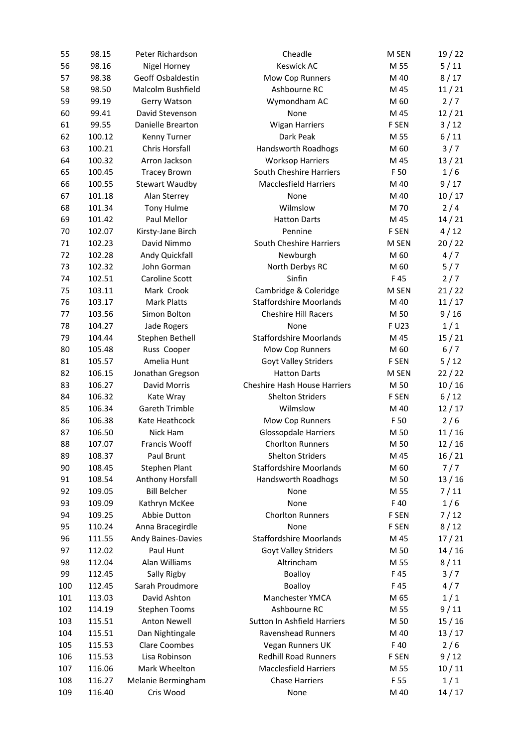| 55       | 98.15            | Peter Richardson                              | Cheadle                             | M SEN        | 19/22       |
|----------|------------------|-----------------------------------------------|-------------------------------------|--------------|-------------|
| 56       | 98.16            | Nigel Horney                                  | Keswick AC                          | M 55         | $5/11$      |
| 57       | 98.38            | Geoff Osbaldestin                             | Mow Cop Runners                     | M 40         | 8/17        |
| 58       | 98.50            | Malcolm Bushfield                             | Ashbourne RC                        | M 45         | 11/21       |
| 59       | 99.19            | Gerry Watson                                  | Wymondham AC                        | M 60         | 2/7         |
| 60       | 99.41            | David Stevenson                               | None                                | M 45         | 12/21       |
| 61       | 99.55            | Danielle Brearton                             | <b>Wigan Harriers</b>               | F SEN        | $3/12$      |
| 62       | 100.12           | Kenny Turner                                  | Dark Peak                           | M 55         | 6/11        |
| 63       | 100.21           | Chris Horsfall                                | Handsworth Roadhogs                 | M 60         | 3/7         |
| 64       | 100.32           | Arron Jackson                                 | <b>Worksop Harriers</b>             | M 45         | 13/21       |
| 65       | 100.45           | <b>Tracey Brown</b>                           | South Cheshire Harriers             | F 50         | 1/6         |
| 66       | 100.55           | <b>Stewart Waudby</b>                         | <b>Macclesfield Harriers</b>        | M 40         | 9/17        |
| 67       | 101.18           | Alan Sterrey                                  | None                                | M 40         | 10/17       |
| 68       | 101.34           | Tony Hulme                                    | Wilmslow                            | M 70         | 2/4         |
| 69       | 101.42           | Paul Mellor                                   | <b>Hatton Darts</b>                 | M 45         | 14/21       |
| 70       | 102.07           | Kirsty-Jane Birch                             | Pennine                             | F SEN        | 4/12        |
| 71       | 102.23           | David Nimmo                                   | South Cheshire Harriers             | M SEN        | 20/22       |
| 72       | 102.28           | Andy Quickfall                                | Newburgh                            | M 60         | 4/7         |
| 73       | 102.32           | John Gorman                                   | North Derbys RC                     | M 60         | 5/7         |
| 74       | 102.51           | Caroline Scott                                | Sinfin                              | F45          | 2/7         |
| 75       | 103.11           | Mark Crook                                    | Cambridge & Coleridge               | M SEN        | 21/22       |
| 76       | 103.17           | <b>Mark Platts</b>                            | <b>Staffordshire Moorlands</b>      | M 40         | 11/17       |
| 77       | 103.56           | Simon Bolton                                  | <b>Cheshire Hill Racers</b>         | M 50         | 9/16        |
| 78       | 104.27           | Jade Rogers                                   | None                                | F U23        | 1/1         |
| 79       | 104.44           | Stephen Bethell                               | <b>Staffordshire Moorlands</b>      | M 45         | 15/21       |
| 80       | 105.48           | Russ Cooper                                   | Mow Cop Runners                     | M 60         | $6/7$       |
| 81       | 105.57           | Amelia Hunt                                   | Goyt Valley Striders                | F SEN        | 5/12        |
| 82       | 106.15           | Jonathan Gregson                              | <b>Hatton Darts</b>                 | M SEN        | 22/22       |
| 83       | 106.27           | David Morris                                  | <b>Cheshire Hash House Harriers</b> | M 50         | 10/16       |
| 84       | 106.32           | Kate Wray                                     | <b>Shelton Striders</b>             | F SEN        | 6/12        |
| 85       | 106.34           | <b>Gareth Trimble</b>                         | Wilmslow                            | M 40         | 12/17       |
| 86       | 106.38           | Kate Heathcock                                | Mow Cop Runners                     | F 50         | 2/6         |
| 87       | 106.50           | Nick Ham                                      | <b>Glossopdale Harriers</b>         | M 50         | 11/16       |
| 88       | 107.07           | Francis Wooff                                 | <b>Chorlton Runners</b>             | M 50         | 12/16       |
| 89       | 108.37           | Paul Brunt                                    | <b>Shelton Striders</b>             | M 45         | 16/21       |
| 90       | 108.45           | Stephen Plant                                 | <b>Staffordshire Moorlands</b>      | M 60         | 7/7         |
| 91       |                  | Anthony Horsfall                              | Handsworth Roadhogs                 |              | 13/16       |
|          | 108.54           | <b>Bill Belcher</b>                           |                                     | M 50<br>M 55 | 7/11        |
| 92       | 109.05           |                                               | None                                | F 40         |             |
| 93<br>94 | 109.09<br>109.25 | Kathryn McKee<br>Abbie Dutton                 | None<br><b>Chorlton Runners</b>     | F SEN        | 1/6<br>7/12 |
|          | 110.24           |                                               | None                                |              |             |
| 95<br>96 | 111.55           | Anna Bracegirdle<br><b>Andy Baines-Davies</b> | <b>Staffordshire Moorlands</b>      | F SEN        | 8/12        |
|          |                  |                                               |                                     | M 45         | 17/21       |
| 97       | 112.02           | Paul Hunt                                     | Goyt Valley Striders                | M 50         | 14/16       |
| 98       | 112.04           | Alan Williams                                 | Altrincham                          | M 55         | 8/11        |
| 99       | 112.45           | Sally Rigby                                   | Boalloy                             | F45          | 3/7         |
| 100      | 112.45           | Sarah Proudmore                               | Boalloy                             | F45          | 4/7         |
| 101      | 113.03           | David Ashton                                  | Manchester YMCA                     | M 65         | 1/1         |
| 102      | 114.19           | <b>Stephen Tooms</b>                          | Ashbourne RC                        | M 55         | 9/11        |
| 103      | 115.51           | <b>Anton Newell</b>                           | Sutton In Ashfield Harriers         | M 50         | 15/16       |
| 104      | 115.51           | Dan Nightingale                               | Ravenshead Runners                  | M 40         | 13/17       |
| 105      | 115.53           | <b>Clare Coombes</b>                          | Vegan Runners UK                    | F 40         | 2/6         |
| 106      | 115.53           | Lisa Robinson                                 | <b>Redhill Road Runners</b>         | F SEN        | 9/12        |
| 107      | 116.06           | Mark Wheelton                                 | <b>Macclesfield Harriers</b>        | M 55         | 10/11       |
| 108      | 116.27           | Melanie Bermingham                            | <b>Chase Harriers</b>               | F 55         | 1/1         |
| 109      | 116.40           | Cris Wood                                     | None                                | M 40         | 14/17       |